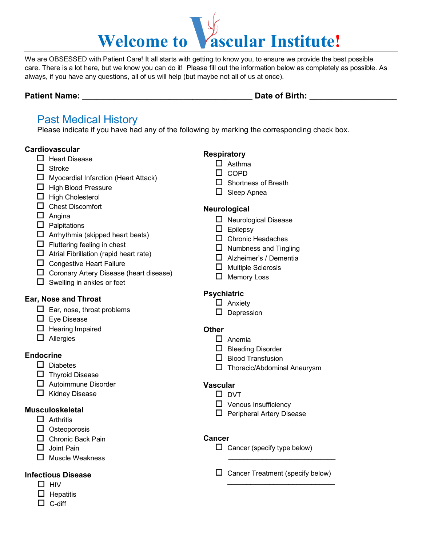# Welcome to **Vascular Institute!**

We are OBSESSED with Patient Care! It all starts with getting to know you, to ensure we provide the best possible care. There is a lot here, but we know you can do it! Please fill out the information below as completely as possible. As always, if you have any questions, all of us will help (but maybe not all of us at once).

#### **Patient Name:**  $\qquad \qquad$  **Date of Birth:**  $\qquad \qquad$

# Past Medical History

Please indicate if you have had any of the following by marking the corresponding check box.

#### **Cardiovascular**

- $\Box$  Heart Disease
- $\Box$  Stroke
- Myocardial Infarction (Heart Attack)
- $\Box$  High Blood Pressure
- $\Box$  High Cholesterol
- □ Chest Discomfort
- $\Box$  Angina
- $\Box$  Palpitations
- $\Box$  Arrhythmia (skipped heart beats)
- $\Box$  Fluttering feeling in chest
- $\Box$  Atrial Fibrillation (rapid heart rate)
- $\Box$  Congestive Heart Failure
- $\Box$  Coronary Artery Disease (heart disease)
- $\Box$  Swelling in ankles or feet

#### **Ear, Nose and Throat**

- $\Box$  Ear, nose, throat problems
- $\square$  Eye Disease
- $\Box$  Hearing Impaired
- $\Box$  Allergies

#### **Endocrine**

- $\square$  Diabetes
- $\Box$  Thyroid Disease
- $\Box$  Autoimmune Disorder
- $\Box$  Kidney Disease

#### **Musculoskeletal**

- $\Box$  Arthritis
- $\Box$  Osteoporosis
- □ Chronic Back Pain
- $\square$  Joint Pain
- $\Box$  Muscle Weakness

#### **Infectious Disease**

- $\Box$  HIV
- $\Box$  Hepatitis
- $\Box$  C-diff

### **Respiratory**

- $\Box$  Asthma
- $\Box$  COPD
- $\square$  Shortness of Breath
- $\Box$  Sleep Apnea

#### **Neurological**

- $\Box$  Neurological Disease
- $\Box$  Epilepsy
- $\Box$  Chronic Headaches
- $\Box$  Numbness and Tingling
- □ Alzheimer's / Dementia
- $\Box$  Multiple Sclerosis
- $\Box$  Memory Loss

## **Psychiatric**

 $\Box$  Depression

## **Other**

- □ Anemia
- $\square$  Bleeding Disorder
- $\Box$  Blood Transfusion
- T Thoracic/Abdominal Aneurysm

#### **Vascular**

- $\square$  DVT
- $\Box$  Venous Insufficiency
- $\Box$  Peripheral Artery Disease

#### **Cancer**

- $\Box$  Cancer (specify type below)  $\frac{1}{2}$ 
	- $\Box$  Cancer Treatment (specify below) \_\_\_\_\_\_\_\_\_\_\_\_\_\_\_\_\_\_\_\_\_\_\_\_\_\_\_\_
- □ Anxiety
	-
	-
- 

- 
- 
-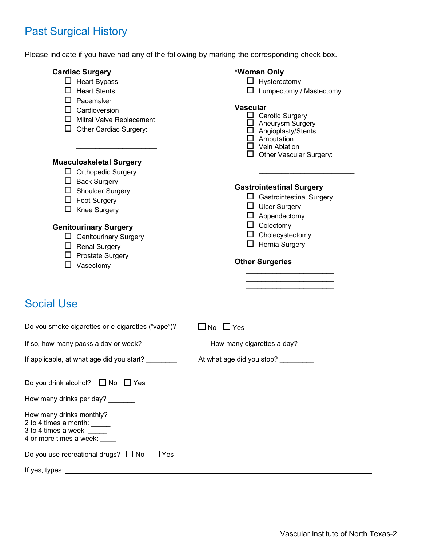# Past Surgical History

Please indicate if you have had any of the following by marking the corresponding check box.

| <b>Cardiac Surgery</b><br>$\Box$ Heart Bypass<br>$\Box$ Heart Stents<br>$\Box$ Pacemaker<br>$\Box$ Cardioversion<br>$\Box$ Mitral Valve Replacement<br>$\Box$ Other Cardiac Surgery:                                                                                                               | *Woman Only<br>$\Box$ Hysterectomy<br>$\Box$ Lumpectomy / Mastectomy<br><b>Vascular</b><br>$\Box$ Carotid Surgery<br>$\Box$ Aneurysm Surgery<br>$\Box$ Angioplasty/Stents<br>$\Box$ Amputation<br>$\Box$ Vein Ablation                               |
|----------------------------------------------------------------------------------------------------------------------------------------------------------------------------------------------------------------------------------------------------------------------------------------------------|------------------------------------------------------------------------------------------------------------------------------------------------------------------------------------------------------------------------------------------------------|
| <b>Musculoskeletal Surgery</b><br>$\Box$ Orthopedic Surgery<br>$\Box$ Back Surgery<br>$\Box$ Shoulder Surgery<br>$\Box$ Foot Surgery<br>$\Box$ Knee Surgery<br><b>Genitourinary Surgery</b><br>$\Box$ Genitourinary Surgery<br>$\Box$ Renal Surgery<br>$\Box$ Prostate Surgery<br>$\Box$ Vasectomy | $\Box$ Other Vascular Surgery:<br><b>Gastrointestinal Surgery</b><br>$\Box$ Gastrointestinal Surgery<br>$\Box$ Ulcer Surgery<br>$\Box$ Appendectomy<br>$\Box$ Colectomy<br>$\Box$ Cholecystectomy<br>$\Box$ Hernia Surgery<br><b>Other Surgeries</b> |
| <b>Social Use</b>                                                                                                                                                                                                                                                                                  |                                                                                                                                                                                                                                                      |
| Do you smoke cigarettes or e-cigarettes ("vape")?                                                                                                                                                                                                                                                  | $\Box$ No $\Box$ Yes                                                                                                                                                                                                                                 |
| If so, how many packs a day or week? ____________________How many cigarettes a day? _________                                                                                                                                                                                                      |                                                                                                                                                                                                                                                      |
| If applicable, at what age did you start?                                                                                                                                                                                                                                                          | At what age did you stop?                                                                                                                                                                                                                            |
| Do you drink alcohol? $\Box$ No<br>$\Box$ Yes                                                                                                                                                                                                                                                      |                                                                                                                                                                                                                                                      |
| How many drinks per day? _______                                                                                                                                                                                                                                                                   |                                                                                                                                                                                                                                                      |
| How many drinks monthly?<br>2 to 4 times a month: _____<br>3 to 4 times a week: $\frac{1}{2}$<br>4 or more times a week: ____                                                                                                                                                                      |                                                                                                                                                                                                                                                      |
| Do you use recreational drugs? $\Box$ No<br>$\Box$ Yes                                                                                                                                                                                                                                             |                                                                                                                                                                                                                                                      |
|                                                                                                                                                                                                                                                                                                    |                                                                                                                                                                                                                                                      |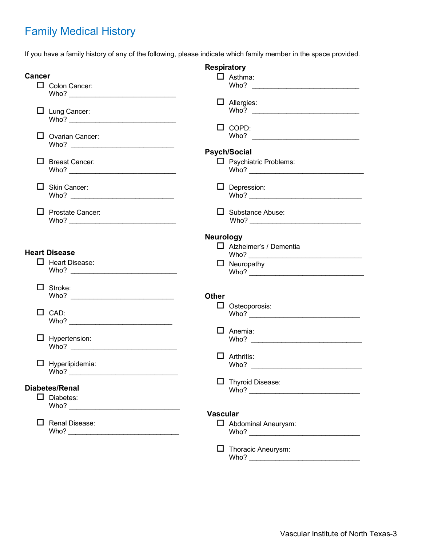# Family Medical History

If you have a family history of any of the following, please indicate which family member in the space provided.

|               |                         | <b>Respiratory</b> |                               |
|---------------|-------------------------|--------------------|-------------------------------|
| <b>Cancer</b> |                         |                    | $\Box$ Asthma:                |
|               | Colon Cancer:           |                    | Who?                          |
|               |                         |                    | $\Box$ Allergies:             |
|               | $\Box$ Lung Cancer:     |                    |                               |
|               |                         |                    |                               |
|               |                         |                    | $\Box$ COPD:                  |
|               | $\Box$ Ovarian Cancer:  |                    |                               |
|               |                         |                    |                               |
|               |                         |                    | <b>Psych/Social</b>           |
|               | $\Box$ Breast Cancer:   |                    | $\Box$ Psychiatric Problems:  |
|               |                         |                    |                               |
|               |                         |                    |                               |
|               | $\Box$ Skin Cancer:     |                    | $\Box$ Depression:            |
|               |                         |                    |                               |
|               |                         |                    |                               |
|               | $\Box$ Prostate Cancer: |                    | $\Box$ Substance Abuse:       |
|               |                         |                    |                               |
|               |                         | <b>Neurology</b>   |                               |
|               |                         |                    | $\Box$ Alzheimer's / Dementia |
|               | <b>Heart Disease</b>    |                    |                               |
|               | $\Box$ Heart Disease:   |                    | $\Box$ Neuropathy             |
|               |                         |                    |                               |
|               |                         |                    |                               |
|               | $\Box$ Stroke:          |                    |                               |
|               |                         | <b>Other</b>       |                               |
|               |                         |                    | $\Box$ Osteoporosis:          |
|               | $\Box$ CAD:             |                    |                               |
|               |                         |                    |                               |
|               |                         |                    | $\Box$ Anemia:                |
|               | $\Box$ Hypertension:    |                    |                               |
|               |                         |                    |                               |
|               |                         |                    | $\Box$ Arthritis:             |
|               | $\Box$ Hyperlipidemia:  |                    |                               |
|               |                         |                    |                               |
|               | <b>Diabetes/Renal</b>   |                    | Thyroid Disease:              |
|               | $\Box$ Diabetes:        |                    |                               |
|               |                         |                    |                               |
|               |                         | <b>Vascular</b>    |                               |
| ш             | Renal Disease:          |                    | $\Box$ Abdominal Aneurysm:    |
|               |                         |                    |                               |
|               |                         |                    |                               |
|               |                         |                    | $\Box$ Thoracic Aneurysm:     |
|               |                         |                    |                               |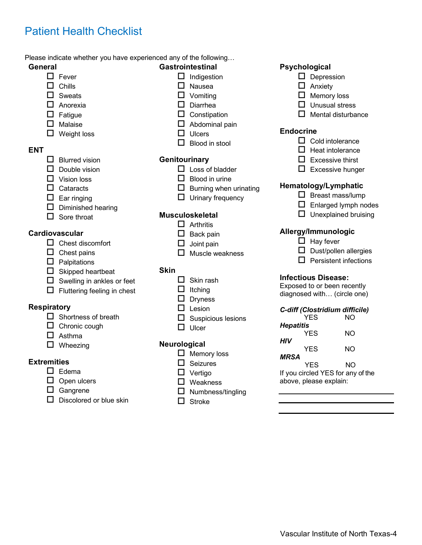# Patient Health Checklist

#### Please indicate whether you have experienced any of the following…

#### **General**

- $\Box$  Fever
- $\Box$  Chills
- □ Sweats
- **D** Anorexia
- $\Box$  Fatigue
- $\Box$  Malaise
- $\Box$  Weight loss

#### **ENT**

- $\Box$  Blurred vision
- $\Box$  Double vision
- Vision loss
- $\Box$  Cataracts
- $\Box$  Ear ringing
- $\square$  Diminished hearing
- $\Box$  Sore throat

#### **Cardiovascular**

- $\Box$  Chest discomfort
- $\square$  Chest pains
- $\Box$  Palpitations
- $\Box$  Skipped heartbeat
- $\Box$  Swelling in ankles or feet
- $\Box$  Fluttering feeling in chest

#### **Respiratory**

- $\Box$  Shortness of breath
- $\Box$  Chronic cough
- Asthma
- $\Box$  Wheezing

#### **Extremities**

- $\square$  Edema
- $\square$  Open ulcers
- □ Gangrene
- $\Box$  Discolored or blue skin

#### **Gastrointestinal**

- $\Box$  Indigestion
- $\Box$  Nausea
- $\square$  Vomiting
- D Diarrhea
- $\square$  Constipation
- $\Box$  Abdominal pain
- $\Box$  Ulcers
- $\Box$  Blood in stool

#### **Genitourinary**

- $\Box$  Loss of bladder
- $\Box$  Blood in urine
- $\square$  Burning when urinating
- $\Box$  Urinary frequency

#### **Musculoskeletal**

- $\Box$  Arthritis
- $\Box$  Back pain
- $\Box$  Joint pain
- 

#### **Skin**

- $\Box$  Skin rash
- 
- $\Box$  Dryness
- $\Box$  Lesion
- $\square$  Suspicious lesions
- $\Box$  Ulcer

#### **Neurological**

- $\Box$  Memory loss
- $\Box$  Seizures
- Vertigo
- □ Weakness
- $\Box$  Numbness/tingling
- $\Box$  Stroke

#### **Psychological**

- $\square$  Depression
- $\Box$  Anxiety
- $\Box$  Memory loss
- $\Box$  Unusual stress
- $\Box$  Mental disturbance

#### **Endocrine**

- $\Box$  Cold intolerance
- $\Box$  Heat intolerance
- $\square$  Excessive thirst
- $\Box$  Excessive hunger

#### **Hematology/Lymphatic**

- $\Box$  Breast mass/lump
- $\Box$  Enlarged lymph nodes
- $\Box$  Unexplained bruising

#### **Allergy/Immunologic**

- $\Box$  Hay fever
- $\square$  Dust/pollen allergies
- $\Box$  Persistent infections

#### **Infectious Disease:**

Exposed to or been recently diagnosed with… (circle one)

#### *C-diff (Clostridium difficile)*

| YES                             | NΟ |
|---------------------------------|----|
| Hepatitis                       |    |
| YES                             | NΟ |
| HIV                             |    |
| YES                             | NΟ |
| MRSA                            |    |
| YES                             | NΟ |
| If you circled YFS for any of t |    |

If you circled YES for any of the above, please explain:

- - $\square$  Muscle weakness

- - $\Box$  Itching
	-
	-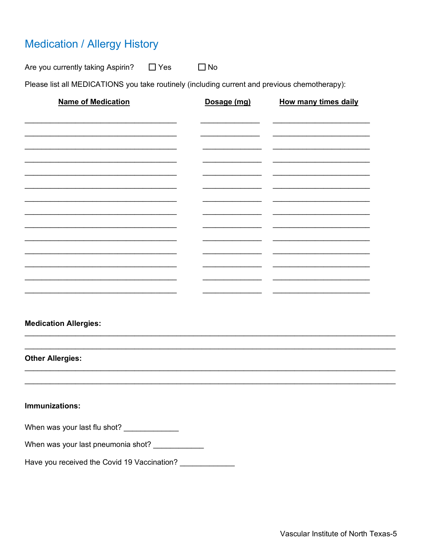# **Medication / Allergy History**

Are you currently taking Aspirin?  $\Box$  Yes  $\Box$  No

Please list all MEDICATIONS you take routinely (including current and previous chemotherapy):

| <b>Name of Medication</b>    | Dosage (mg) | <b>How many times daily</b> |
|------------------------------|-------------|-----------------------------|
|                              |             |                             |
|                              |             |                             |
|                              |             |                             |
|                              |             |                             |
|                              |             |                             |
|                              |             |                             |
|                              |             |                             |
|                              |             |                             |
|                              |             |                             |
|                              |             |                             |
|                              |             |                             |
|                              |             |                             |
|                              |             |                             |
|                              |             |                             |
| <b>Medication Allergies:</b> |             |                             |

**Other Allergies:** 

Immunizations:

When was your last flu shot? \_\_\_\_\_\_\_\_\_\_\_\_\_

Have you received the Covid 19 Vaccination?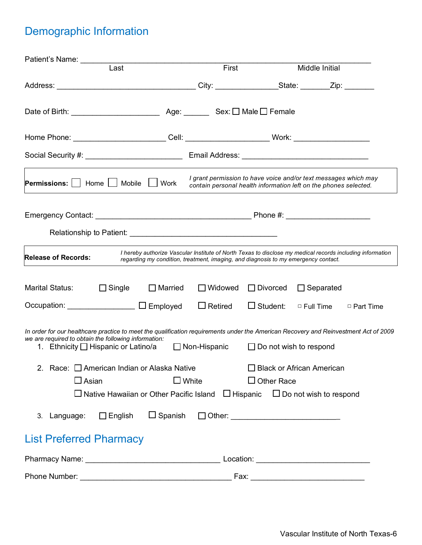# Demographic Information

| Patient's Name:                                                                                                                                                                                                                     |                                                                                                                                                                                                 |                               |                             |             |
|-------------------------------------------------------------------------------------------------------------------------------------------------------------------------------------------------------------------------------------|-------------------------------------------------------------------------------------------------------------------------------------------------------------------------------------------------|-------------------------------|-----------------------------|-------------|
| Last                                                                                                                                                                                                                                | First                                                                                                                                                                                           |                               | Middle Initial              |             |
|                                                                                                                                                                                                                                     |                                                                                                                                                                                                 |                               |                             |             |
|                                                                                                                                                                                                                                     |                                                                                                                                                                                                 |                               |                             |             |
| Home Phone: _________________________Cell: ___________________________Work: ________________________                                                                                                                                |                                                                                                                                                                                                 |                               |                             |             |
|                                                                                                                                                                                                                                     |                                                                                                                                                                                                 |                               |                             |             |
| <b>Permissions:</b> $ $ Home $ $<br>Mobile                                                                                                                                                                                          | I grant permission to have voice and/or text messages which may<br><b>Work</b><br>contain personal health information left on the phones selected.                                              |                               |                             |             |
|                                                                                                                                                                                                                                     |                                                                                                                                                                                                 |                               |                             |             |
|                                                                                                                                                                                                                                     |                                                                                                                                                                                                 |                               |                             |             |
| <b>Release of Records:</b>                                                                                                                                                                                                          | I hereby authorize Vascular Institute of North Texas to disclose my medical records including information<br>regarding my condition, treatment, imaging, and diagnosis to my emergency contact. |                               |                             |             |
| Marital Status:<br>$\Box$ Single                                                                                                                                                                                                    | $\Box$ Married<br>$\Box$ Widowed                                                                                                                                                                | $\Box$ Divorced               | $\Box$ Separated            |             |
| Occupation: <u>___________________</u> □ Employed                                                                                                                                                                                   | $\Box$ Retired                                                                                                                                                                                  | $\Box$ Student:               | $\Box$ Full Time            | □ Part Time |
| In order for our healthcare practice to meet the qualification requirements under the American Recovery and Reinvestment Act of 2009<br>we are required to obtain the following information:<br>1. Ethnicity □ Hispanic or Latino/a | $\Box$ Non-Hispanic                                                                                                                                                                             | $\Box$ Do not wish to respond |                             |             |
| 2. Race: C American Indian or Alaska Native                                                                                                                                                                                         |                                                                                                                                                                                                 |                               | □ Black or African American |             |
| $\square$ Asian                                                                                                                                                                                                                     | $\square$ White                                                                                                                                                                                 | $\Box$ Other Race             |                             |             |
| $\Box$ Native Hawaiian or Other Pacific Island $\Box$ Hispanic $\Box$ Do not wish to respond                                                                                                                                        |                                                                                                                                                                                                 |                               |                             |             |
| 3. Language: $\Box$ English                                                                                                                                                                                                         |                                                                                                                                                                                                 |                               |                             |             |
| <b>List Preferred Pharmacy</b>                                                                                                                                                                                                      |                                                                                                                                                                                                 |                               |                             |             |
|                                                                                                                                                                                                                                     |                                                                                                                                                                                                 |                               |                             |             |
|                                                                                                                                                                                                                                     |                                                                                                                                                                                                 |                               |                             |             |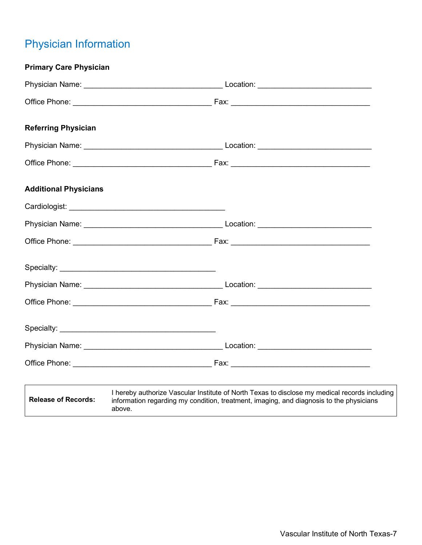# Physician Information

| <b>Primary Care Physician</b> |                                                                                                                                                                                          |
|-------------------------------|------------------------------------------------------------------------------------------------------------------------------------------------------------------------------------------|
|                               |                                                                                                                                                                                          |
|                               |                                                                                                                                                                                          |
| <b>Referring Physician</b>    |                                                                                                                                                                                          |
|                               |                                                                                                                                                                                          |
|                               |                                                                                                                                                                                          |
| <b>Additional Physicians</b>  |                                                                                                                                                                                          |
|                               |                                                                                                                                                                                          |
|                               |                                                                                                                                                                                          |
|                               |                                                                                                                                                                                          |
|                               |                                                                                                                                                                                          |
|                               |                                                                                                                                                                                          |
|                               |                                                                                                                                                                                          |
|                               |                                                                                                                                                                                          |
|                               |                                                                                                                                                                                          |
|                               |                                                                                                                                                                                          |
| <b>Release of Records:</b>    | I hereby authorize Vascular Institute of North Texas to disclose my medical records including<br>information regarding my condition, treatment, imaging, and diagnosis to the physicians |

above.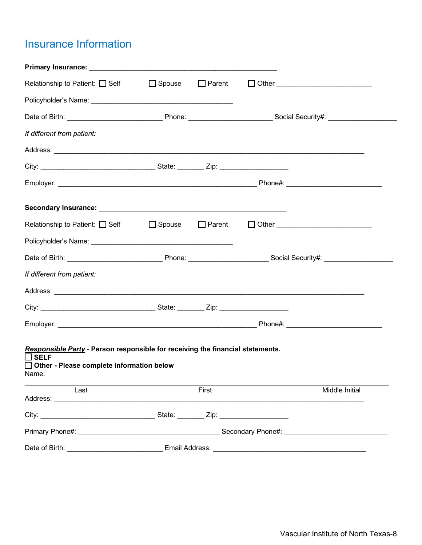# Insurance Information

| Relationship to Patient: □ Self □ Spouse □ Parent                                                                                                                                                                              |       |                |
|--------------------------------------------------------------------------------------------------------------------------------------------------------------------------------------------------------------------------------|-------|----------------|
|                                                                                                                                                                                                                                |       |                |
|                                                                                                                                                                                                                                |       |                |
| If different from patient:                                                                                                                                                                                                     |       |                |
|                                                                                                                                                                                                                                |       |                |
|                                                                                                                                                                                                                                |       |                |
|                                                                                                                                                                                                                                |       |                |
| Secondary Insurance: Management of the Contract of the Contract of the Contract of the Contract of the Contract of the Contract of the Contract of the Contract of the Contract of the Contract of the Contract of the Contrac |       |                |
|                                                                                                                                                                                                                                |       |                |
|                                                                                                                                                                                                                                |       |                |
|                                                                                                                                                                                                                                |       |                |
| If different from patient:                                                                                                                                                                                                     |       |                |
|                                                                                                                                                                                                                                |       |                |
|                                                                                                                                                                                                                                |       |                |
|                                                                                                                                                                                                                                |       |                |
| Responsible Party - Person responsible for receiving the financial statements.<br>$\Box$ SELF<br>□ Other - Please complete information below<br>Name:                                                                          |       |                |
| Last                                                                                                                                                                                                                           | First | Middle Initial |
|                                                                                                                                                                                                                                |       |                |
|                                                                                                                                                                                                                                |       |                |
|                                                                                                                                                                                                                                |       |                |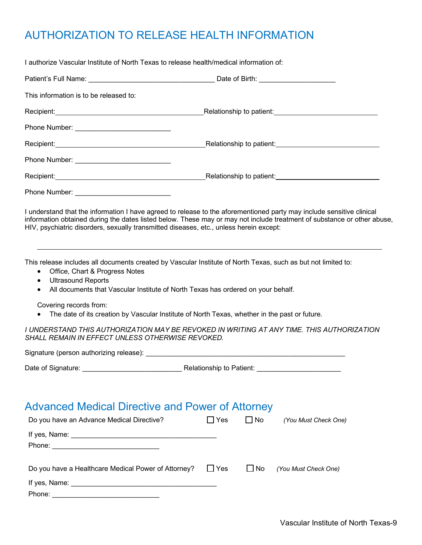# AUTHORIZATION TO RELEASE HEALTH INFORMATION

I authorize Vascular Institute of North Texas to release health/medical information of:

| This information is to be released to:                                                                                                                                                                           |                                                                                                                                                                                                                                                  |
|------------------------------------------------------------------------------------------------------------------------------------------------------------------------------------------------------------------|--------------------------------------------------------------------------------------------------------------------------------------------------------------------------------------------------------------------------------------------------|
|                                                                                                                                                                                                                  |                                                                                                                                                                                                                                                  |
|                                                                                                                                                                                                                  |                                                                                                                                                                                                                                                  |
|                                                                                                                                                                                                                  |                                                                                                                                                                                                                                                  |
|                                                                                                                                                                                                                  |                                                                                                                                                                                                                                                  |
|                                                                                                                                                                                                                  |                                                                                                                                                                                                                                                  |
|                                                                                                                                                                                                                  |                                                                                                                                                                                                                                                  |
| HIV, psychiatric disorders, sexually transmitted diseases, etc., unless herein except:                                                                                                                           | I understand that the information I have agreed to release to the aforementioned party may include sensitive clinical<br>information obtained during the dates listed below. These may or may not include treatment of substance or other abuse, |
| Office, Chart & Progress Notes<br>$\bullet$<br><b>Ultrasound Reports</b><br>$\bullet$<br>All documents that Vascular Institute of North Texas has ordered on your behalf.<br>$\bullet$<br>Covering records from: | This release includes all documents created by Vascular Institute of North Texas, such as but not limited to:<br>The date of its creation by Vascular Institute of North Texas, whether in the past or future.                                   |
| SHALL REMAIN IN EFFECT UNLESS OTHERWISE REVOKED.                                                                                                                                                                 | I UNDERSTAND THIS AUTHORIZATION MAY BE REVOKED IN WRITING AT ANY TIME. THIS AUTHORIZATION                                                                                                                                                        |
|                                                                                                                                                                                                                  |                                                                                                                                                                                                                                                  |
|                                                                                                                                                                                                                  |                                                                                                                                                                                                                                                  |
| <b>Advanced Medical Directive and Power of Attorney</b><br>Do you have an Advance Medical Directive?                                                                                                             | $\Box$ No<br>$\Box$ Yes<br>(You Must Check One)                                                                                                                                                                                                  |
| Do you have a Healthcare Medical Power of Attorney?                                                                                                                                                              | $\Box$ Yes<br>$\Box$ No<br>(You Must Check One)                                                                                                                                                                                                  |